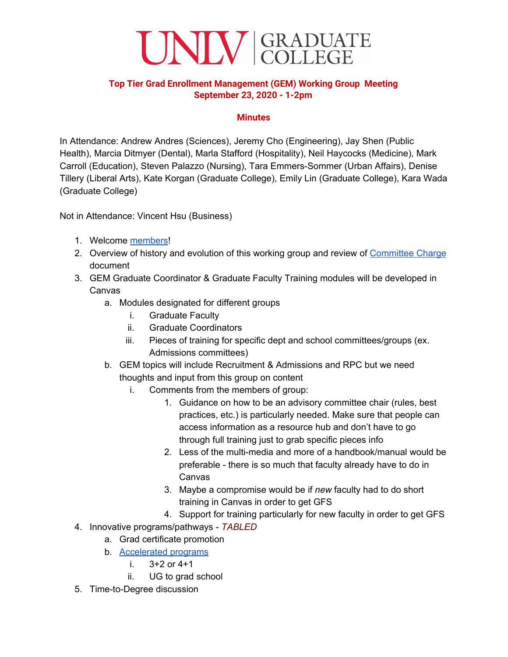

## **Top Tier Grad Enrollment Management (GEM) Working Group Meeting September 23, 2020 - 1-2pm**

## **Minutes**

In Attendance: Andrew Andres (Sciences), Jeremy Cho (Engineering), Jay Shen (Public Health), Marcia Ditmyer (Dental), Marla Stafford (Hospitality), Neil Haycocks (Medicine), Mark Carroll (Education), Steven Palazzo (Nursing), Tara Emmers-Sommer (Urban Affairs), Denise Tillery (Liberal Arts), Kate Korgan (Graduate College), Emily Lin (Graduate College), Kara Wada (Graduate College)

Not in Attendance: Vincent Hsu (Business)

- 1. Welcome [members](https://docs.google.com/spreadsheets/d/1NpAnF_EddFQMuhtmmvSpsCG8ruyzec5pZcgMy7fHGL8/edit#gid=0)!
- 2. Overview of history and evolution of this working group and review of [Committee](https://docs.google.com/document/d/1i4AfLhZzlUQzBD_uBMhEZmjKScKNdMbQ7TnttmPfH1I/edit) Charge document
- 3. GEM Graduate Coordinator & Graduate Faculty Training modules will be developed in Canvas
	- a. Modules designated for different groups
		- i. Graduate Faculty
		- ii. Graduate Coordinators
		- iii. Pieces of training for specific dept and school committees/groups (ex. Admissions committees)
	- b. GEM topics will include Recruitment & Admissions and RPC but we need thoughts and input from this group on content
		- i. Comments from the members of group:
			- 1. Guidance on how to be an advisory committee chair (rules, best practices, etc.) is particularly needed. Make sure that people can access information as a resource hub and don't have to go through full training just to grab specific pieces info
			- 2. Less of the multi-media and more of a handbook/manual would be preferable - there is so much that faculty already have to do in Canvas
			- 3. Maybe a compromise would be if *new* faculty had to do short training in Canvas in order to get GFS
			- 4. Support for training particularly for new faculty in order to get GFS
- 4. Innovative programs/pathways *TABLED*
	- a. Grad certificate promotion
	- b. [Accelerated](https://docs.google.com/document/d/1P47KDRqTGH_iCQnBwij1Jy4sfvxHSD4DGQ3IyXCmWzk/edit) programs
		- i. 3+2 or 4+1
		- ii. UG to grad school
- 5. Time-to-Degree discussion